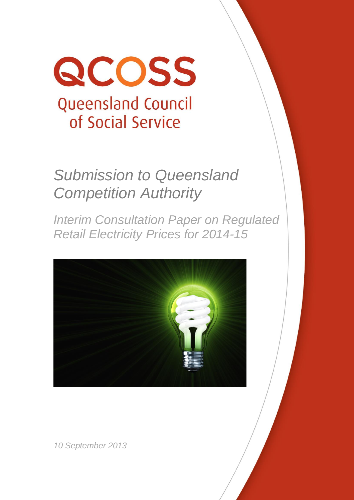

# *Submission to Queensland Competition Authority*

*Interim Consultation Paper on Regulated Retail Electricity Prices for 2014-15*



*10 September 2013*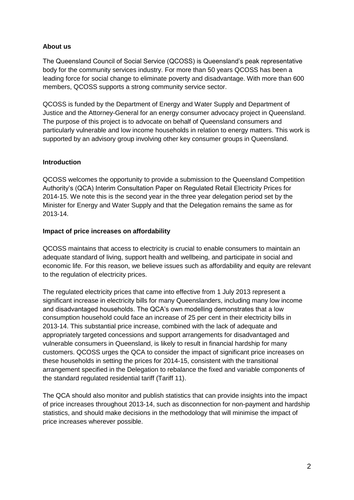## **About us**

The Queensland Council of Social Service (QCOSS) is Queensland's peak representative body for the community services industry. For more than 50 years QCOSS has been a leading force for social change to eliminate poverty and disadvantage. With more than 600 members, QCOSS supports a strong community service sector.

QCOSS is funded by the Department of Energy and Water Supply and Department of Justice and the Attorney-General for an energy consumer advocacy project in Queensland. The purpose of this project is to advocate on behalf of Queensland consumers and particularly vulnerable and low income households in relation to energy matters. This work is supported by an advisory group involving other key consumer groups in Queensland.

## **Introduction**

QCOSS welcomes the opportunity to provide a submission to the Queensland Competition Authority's (QCA) Interim Consultation Paper on Regulated Retail Electricity Prices for 2014-15. We note this is the second year in the three year delegation period set by the Minister for Energy and Water Supply and that the Delegation remains the same as for 2013-14.

### **Impact of price increases on affordability**

QCOSS maintains that access to electricity is crucial to enable consumers to maintain an adequate standard of living, support health and wellbeing, and participate in social and economic life. For this reason, we believe issues such as affordability and equity are relevant to the regulation of electricity prices.

The regulated electricity prices that came into effective from 1 July 2013 represent a significant increase in electricity bills for many Queenslanders, including many low income and disadvantaged households. The QCA's own modelling demonstrates that a low consumption household could face an increase of 25 per cent in their electricity bills in 2013-14. This substantial price increase, combined with the lack of adequate and appropriately targeted concessions and support arrangements for disadvantaged and vulnerable consumers in Queensland, is likely to result in financial hardship for many customers. QCOSS urges the QCA to consider the impact of significant price increases on these households in setting the prices for 2014-15, consistent with the transitional arrangement specified in the Delegation to rebalance the fixed and variable components of the standard regulated residential tariff (Tariff 11).

The QCA should also monitor and publish statistics that can provide insights into the impact of price increases throughout 2013-14, such as disconnection for non-payment and hardship statistics, and should make decisions in the methodology that will minimise the impact of price increases wherever possible.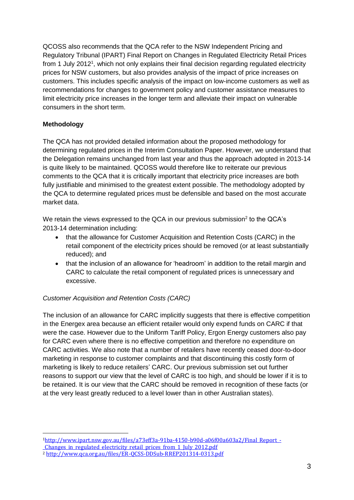QCOSS also recommends that the QCA refer to the NSW Independent Pricing and Regulatory Tribunal (IPART) Final Report on Changes in Regulated Electricity Retail Prices from 1 July 2012<sup>1</sup>, which not only explains their final decision regarding regulated electricity prices for NSW customers, but also provides analysis of the impact of price increases on customers. This includes specific analysis of the impact on low-income customers as well as recommendations for changes to government policy and customer assistance measures to limit electricity price increases in the longer term and alleviate their impact on vulnerable consumers in the short term.

## **Methodology**

The QCA has not provided detailed information about the proposed methodology for determining regulated prices in the Interim Consultation Paper. However, we understand that the Delegation remains unchanged from last year and thus the approach adopted in 2013-14 is quite likely to be maintained. QCOSS would therefore like to reiterate our previous comments to the QCA that it is critically important that electricity price increases are both fully justifiable and minimised to the greatest extent possible. The methodology adopted by the QCA to determine regulated prices must be defensible and based on the most accurate market data.

We retain the views expressed to the QCA in our previous submission<sup>2</sup> to the QCA's 2013-14 determination including:

- that the allowance for Customer Acquisition and Retention Costs (CARC) in the retail component of the electricity prices should be removed (or at least substantially reduced); and
- that the inclusion of an allowance for 'headroom' in addition to the retail margin and CARC to calculate the retail component of regulated prices is unnecessary and excessive.

# *Customer Acquisition and Retention Costs (CARC)*

The inclusion of an allowance for CARC implicitly suggests that there is effective competition in the Energex area because an efficient retailer would only expend funds on CARC if that were the case. However due to the Uniform Tariff Policy, Ergon Energy customers also pay for CARC even where there is no effective competition and therefore no expenditure on CARC activities. We also note that a number of retailers have recently ceased door-to-door marketing in response to customer complaints and that discontinuing this costly form of marketing is likely to reduce retailers' CARC. Our previous submission set out further reasons to support our view that the level of CARC is too high, and should be lower if it is to be retained. It is our view that the CARC should be removed in recognition of these facts (or at the very least greatly reduced to a level lower than in other Australian states).

1 <sup>1</sup>[http://www.ipart.nsw.gov.au/files/a73eff3a-91ba-4150-b90d-a06f00a603a2/Final\\_Report\\_-](http://www.ipart.nsw.gov.au/files/a73eff3a-91ba-4150-b90d-a06f00a603a2/Final_Report_-_Changes_in_regulated_electricity_retail_prices_from_1_July_2012.pdf)

[\\_Changes\\_in\\_regulated\\_electricity\\_retail\\_prices\\_from\\_1\\_July\\_2012.pdf](http://www.ipart.nsw.gov.au/files/a73eff3a-91ba-4150-b90d-a06f00a603a2/Final_Report_-_Changes_in_regulated_electricity_retail_prices_from_1_July_2012.pdf)

<sup>2</sup> <http://www.qca.org.au/files/ER-QCSS-DDSub-RREP201314-0313.pdf>